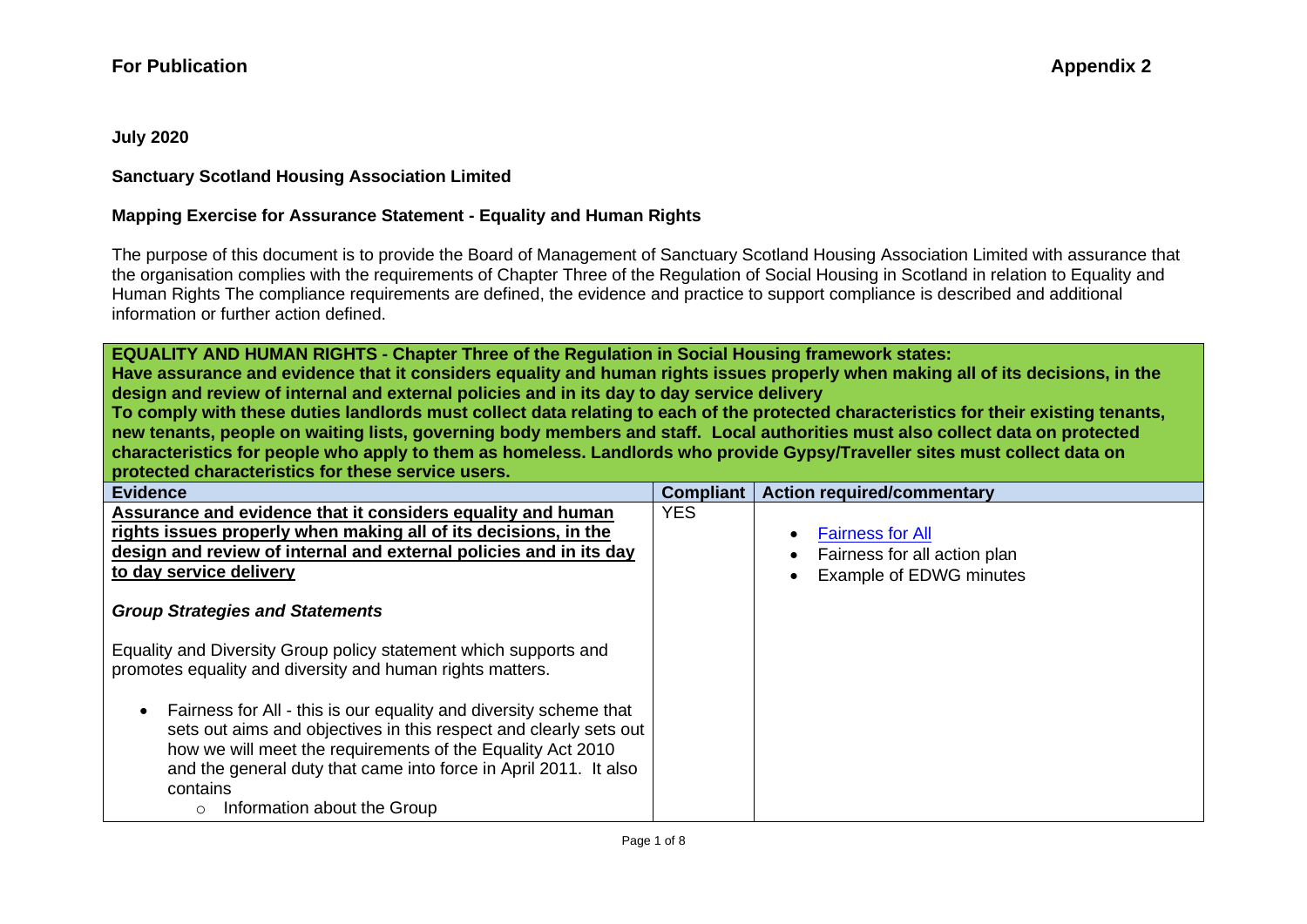**July 2020**

### **Sanctuary Scotland Housing Association Limited**

#### **Mapping Exercise for Assurance Statement - Equality and Human Rights**

The purpose of this document is to provide the Board of Management of Sanctuary Scotland Housing Association Limited with assurance that the organisation complies with the requirements of Chapter Three of the Regulation of Social Housing in Scotland in relation to Equality and Human Rights The compliance requirements are defined, the evidence and practice to support compliance is described and additional information or further action defined.

**EQUALITY AND HUMAN RIGHTS - Chapter Three of the Regulation in Social Housing framework states:**

**Have assurance and evidence that it considers equality and human rights issues properly when making all of its decisions, in the design and review of internal and external policies and in its day to day service delivery**

**To comply with these duties landlords must collect data relating to each of the protected characteristics for their existing tenants, new tenants, people on waiting lists, governing body members and staff. Local authorities must also collect data on protected characteristics for people who apply to them as homeless. Landlords who provide Gypsy/Traveller sites must collect data on protected characteristics for these service users.**

| <b>Evidence</b>                                                                                                                                                                                                                                                                                                                  | <b>Compliant</b> | <b>Action required/commentary</b>                                                  |
|----------------------------------------------------------------------------------------------------------------------------------------------------------------------------------------------------------------------------------------------------------------------------------------------------------------------------------|------------------|------------------------------------------------------------------------------------|
| Assurance and evidence that it considers equality and human<br>rights issues properly when making all of its decisions, in the<br>design and review of internal and external policies and in its day<br>to day service delivery                                                                                                  | <b>YES</b>       | <b>Fairness for All</b><br>Fairness for all action plan<br>Example of EDWG minutes |
| <b>Group Strategies and Statements</b>                                                                                                                                                                                                                                                                                           |                  |                                                                                    |
| Equality and Diversity Group policy statement which supports and<br>promotes equality and diversity and human rights matters.                                                                                                                                                                                                    |                  |                                                                                    |
| Fairness for All - this is our equality and diversity scheme that<br>$\bullet$<br>sets out aims and objectives in this respect and clearly sets out<br>how we will meet the requirements of the Equality Act 2010<br>and the general duty that came into force in April 2011. It also<br>contains<br>Information about the Group |                  |                                                                                    |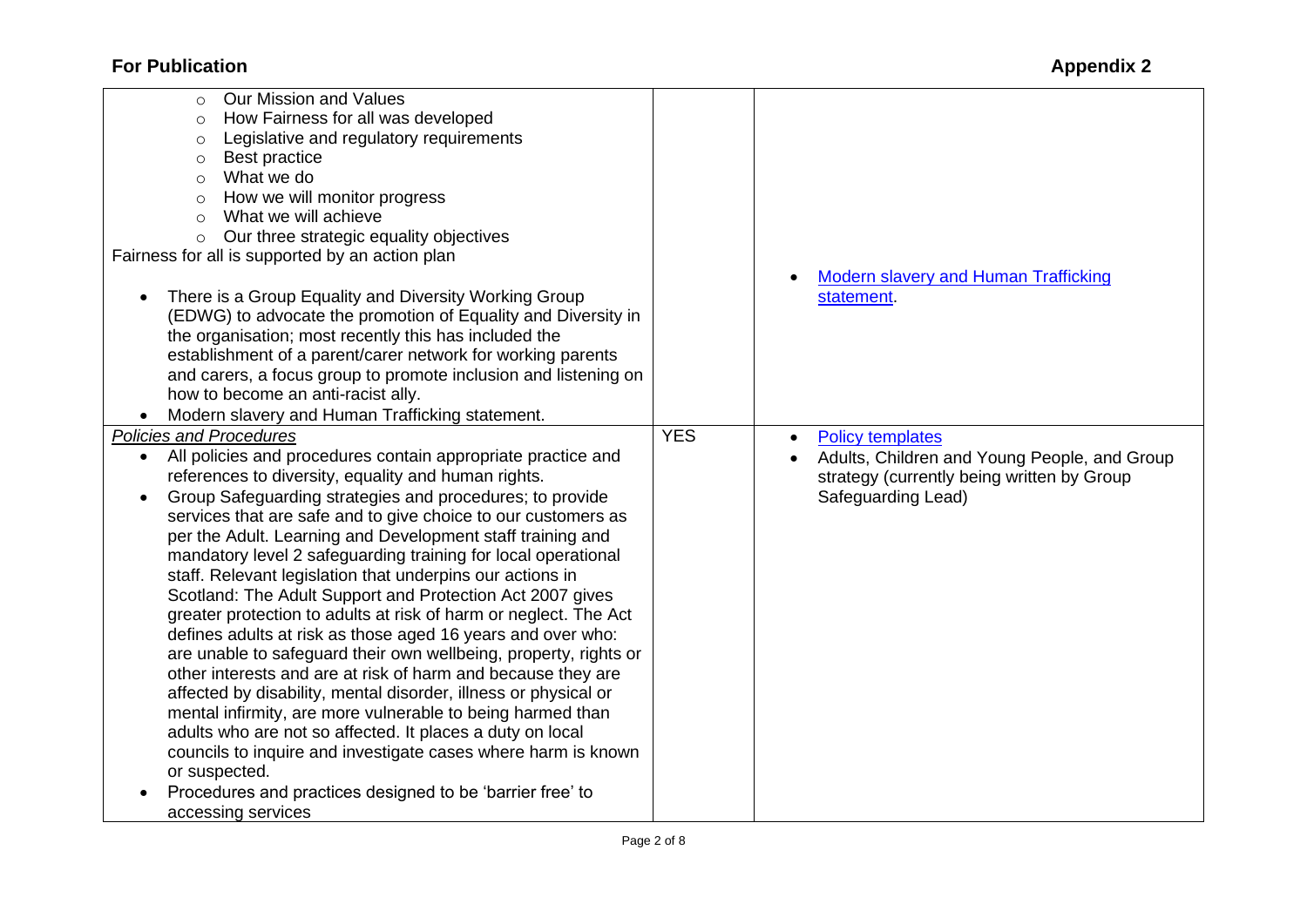| Our Mission and Values<br>$\circ$                                         |                                                    |
|---------------------------------------------------------------------------|----------------------------------------------------|
| How Fairness for all was developed<br>$\circ$                             |                                                    |
| Legislative and regulatory requirements<br>$\circ$                        |                                                    |
| Best practice<br>$\circ$                                                  |                                                    |
| What we do<br>$\circ$                                                     |                                                    |
| How we will monitor progress<br>$\circ$                                   |                                                    |
| What we will achieve<br>$\circ$                                           |                                                    |
| Our three strategic equality objectives<br>$\circ$                        |                                                    |
| Fairness for all is supported by an action plan                           |                                                    |
|                                                                           | <b>Modern slavery and Human Trafficking</b>        |
| There is a Group Equality and Diversity Working Group<br>$\bullet$        | statement.                                         |
| (EDWG) to advocate the promotion of Equality and Diversity in             |                                                    |
|                                                                           |                                                    |
| the organisation; most recently this has included the                     |                                                    |
| establishment of a parent/carer network for working parents               |                                                    |
| and carers, a focus group to promote inclusion and listening on           |                                                    |
| how to become an anti-racist ally.                                        |                                                    |
| Modern slavery and Human Trafficking statement.                           |                                                    |
| <b>Policies and Procedures</b>                                            | <b>YES</b><br><b>Policy templates</b><br>$\bullet$ |
| All policies and procedures contain appropriate practice and<br>$\bullet$ | Adults, Children and Young People, and Group       |
| references to diversity, equality and human rights.                       | strategy (currently being written by Group         |
| Group Safeguarding strategies and procedures; to provide<br>$\bullet$     | Safeguarding Lead)                                 |
| services that are safe and to give choice to our customers as             |                                                    |
| per the Adult. Learning and Development staff training and                |                                                    |
| mandatory level 2 safeguarding training for local operational             |                                                    |
| staff. Relevant legislation that underpins our actions in                 |                                                    |
| Scotland: The Adult Support and Protection Act 2007 gives                 |                                                    |
| greater protection to adults at risk of harm or neglect. The Act          |                                                    |
| defines adults at risk as those aged 16 years and over who:               |                                                    |
| are unable to safeguard their own wellbeing, property, rights or          |                                                    |
| other interests and are at risk of harm and because they are              |                                                    |
| affected by disability, mental disorder, illness or physical or           |                                                    |
| mental infirmity, are more vulnerable to being harmed than                |                                                    |
| adults who are not so affected. It places a duty on local                 |                                                    |
| councils to inquire and investigate cases where harm is known             |                                                    |
| or suspected.                                                             |                                                    |
| Procedures and practices designed to be 'barrier free' to                 |                                                    |
| accessing services                                                        |                                                    |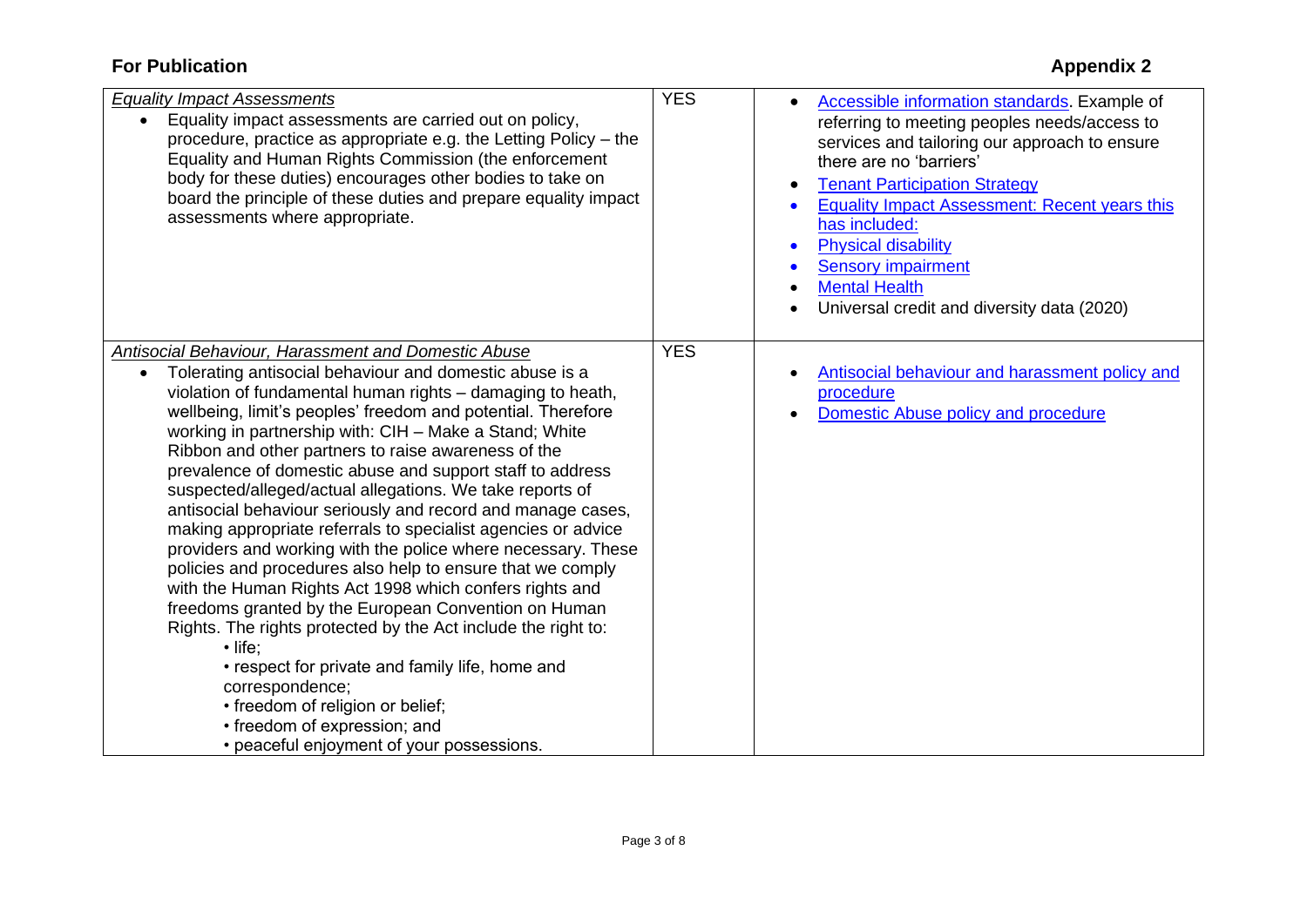| <b>Equality Impact Assessments</b><br>Equality impact assessments are carried out on policy,<br>$\bullet$<br>procedure, practice as appropriate e.g. the Letting Policy – the<br>Equality and Human Rights Commission (the enforcement<br>body for these duties) encourages other bodies to take on<br>board the principle of these duties and prepare equality impact<br>assessments where appropriate.                                                                                                                                                                                                                                                                                                                                                                                                                                                                                                                                                                                                                                                                                                                                                             | <b>YES</b> | Accessible information standards. Example of<br>referring to meeting peoples needs/access to<br>services and tailoring our approach to ensure<br>there are no 'barriers'<br><b>Tenant Participation Strategy</b><br><b>Equality Impact Assessment: Recent years this</b><br>has included:<br><b>Physical disability</b><br>$\bullet$<br><b>Sensory impairment</b><br><b>Mental Health</b><br>Universal credit and diversity data (2020) |
|----------------------------------------------------------------------------------------------------------------------------------------------------------------------------------------------------------------------------------------------------------------------------------------------------------------------------------------------------------------------------------------------------------------------------------------------------------------------------------------------------------------------------------------------------------------------------------------------------------------------------------------------------------------------------------------------------------------------------------------------------------------------------------------------------------------------------------------------------------------------------------------------------------------------------------------------------------------------------------------------------------------------------------------------------------------------------------------------------------------------------------------------------------------------|------------|-----------------------------------------------------------------------------------------------------------------------------------------------------------------------------------------------------------------------------------------------------------------------------------------------------------------------------------------------------------------------------------------------------------------------------------------|
| <b>Antisocial Behaviour, Harassment and Domestic Abuse</b><br>Tolerating antisocial behaviour and domestic abuse is a<br>$\bullet$<br>violation of fundamental human rights - damaging to heath,<br>wellbeing, limit's peoples' freedom and potential. Therefore<br>working in partnership with: CIH - Make a Stand; White<br>Ribbon and other partners to raise awareness of the<br>prevalence of domestic abuse and support staff to address<br>suspected/alleged/actual allegations. We take reports of<br>antisocial behaviour seriously and record and manage cases,<br>making appropriate referrals to specialist agencies or advice<br>providers and working with the police where necessary. These<br>policies and procedures also help to ensure that we comply<br>with the Human Rights Act 1998 which confers rights and<br>freedoms granted by the European Convention on Human<br>Rights. The rights protected by the Act include the right to:<br>$\cdot$ life:<br>• respect for private and family life, home and<br>correspondence;<br>• freedom of religion or belief;<br>• freedom of expression; and<br>• peaceful enjoyment of your possessions. | <b>YES</b> | Antisocial behaviour and harassment policy and<br>procedure<br>Domestic Abuse policy and procedure                                                                                                                                                                                                                                                                                                                                      |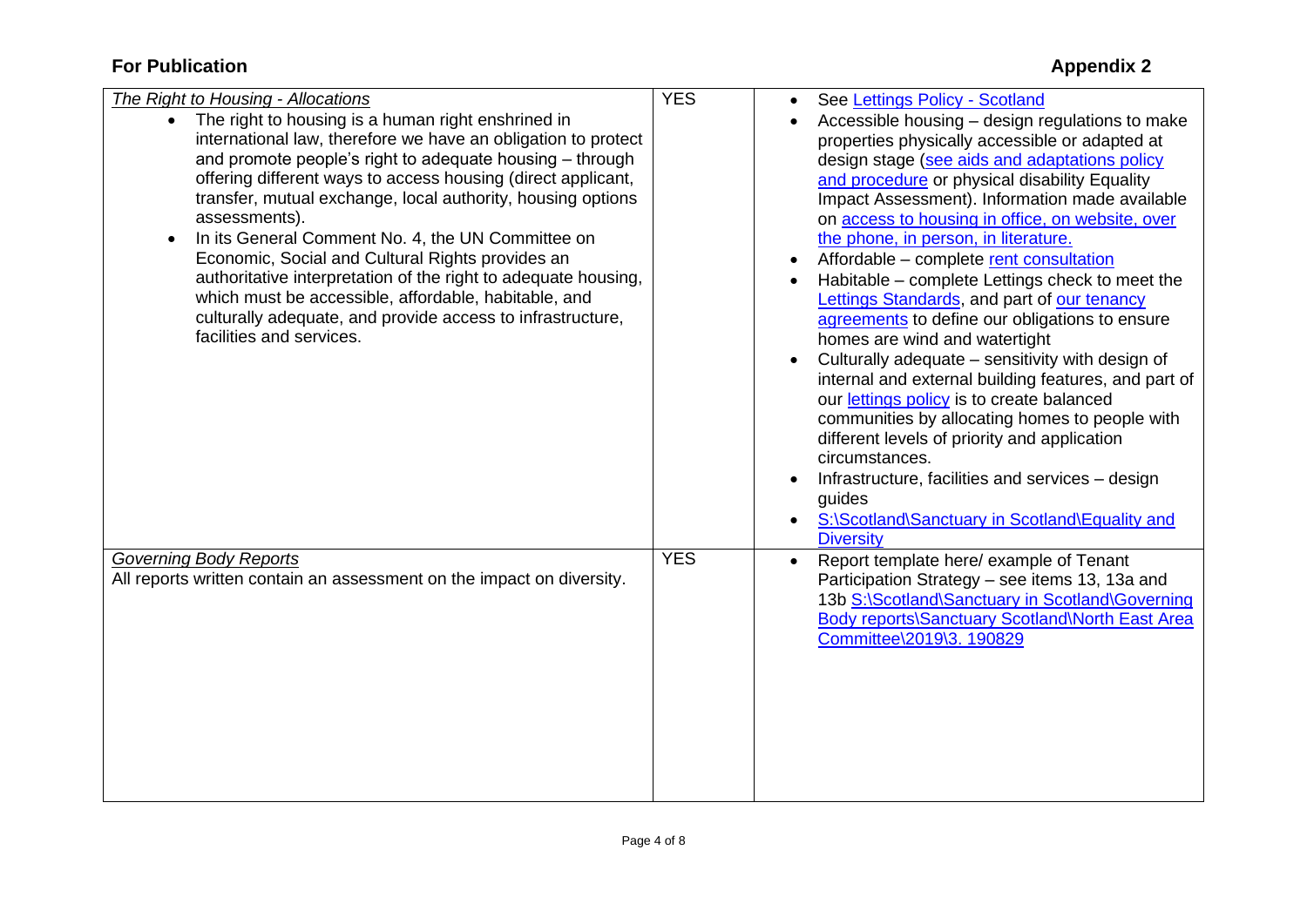| The Right to Housing - Allocations                                                                                                                                                                                                                                                                                                                                                                                                                                                                                                                                                                                                                             | <b>YES</b> | See Lettings Policy - Scotland<br>$\bullet$                                                                                                                                                                                                                                                                                                                                                                                                                                                                                                                                                                                                                                                                                                                                                                                                                                                                                                            |
|----------------------------------------------------------------------------------------------------------------------------------------------------------------------------------------------------------------------------------------------------------------------------------------------------------------------------------------------------------------------------------------------------------------------------------------------------------------------------------------------------------------------------------------------------------------------------------------------------------------------------------------------------------------|------------|--------------------------------------------------------------------------------------------------------------------------------------------------------------------------------------------------------------------------------------------------------------------------------------------------------------------------------------------------------------------------------------------------------------------------------------------------------------------------------------------------------------------------------------------------------------------------------------------------------------------------------------------------------------------------------------------------------------------------------------------------------------------------------------------------------------------------------------------------------------------------------------------------------------------------------------------------------|
| • The right to housing is a human right enshrined in<br>international law, therefore we have an obligation to protect<br>and promote people's right to adequate housing - through<br>offering different ways to access housing (direct applicant,<br>transfer, mutual exchange, local authority, housing options<br>assessments).<br>In its General Comment No. 4, the UN Committee on<br>Economic, Social and Cultural Rights provides an<br>authoritative interpretation of the right to adequate housing,<br>which must be accessible, affordable, habitable, and<br>culturally adequate, and provide access to infrastructure,<br>facilities and services. |            | Accessible housing - design regulations to make<br>properties physically accessible or adapted at<br>design stage (see aids and adaptations policy<br>and procedure or physical disability Equality<br>Impact Assessment). Information made available<br>on access to housing in office, on website, over<br>the phone, in person, in literature.<br>Affordable – complete rent consultation<br>$\bullet$<br>Habitable – complete Lettings check to meet the<br>Lettings Standards, and part of our tenancy<br>agreements to define our obligations to ensure<br>homes are wind and watertight<br>Culturally adequate - sensitivity with design of<br>internal and external building features, and part of<br>our lettings policy is to create balanced<br>communities by allocating homes to people with<br>different levels of priority and application<br>circumstances.<br>Infrastructure, facilities and services - design<br>$\bullet$<br>guides |
|                                                                                                                                                                                                                                                                                                                                                                                                                                                                                                                                                                                                                                                                |            | S:\Scotland\Sanctuary in Scotland\Equality and<br>$\bullet$<br><b>Diversity</b>                                                                                                                                                                                                                                                                                                                                                                                                                                                                                                                                                                                                                                                                                                                                                                                                                                                                        |
| <b>Governing Body Reports</b><br>All reports written contain an assessment on the impact on diversity.                                                                                                                                                                                                                                                                                                                                                                                                                                                                                                                                                         | <b>YES</b> | Report template here/ example of Tenant<br>Participation Strategy - see items 13, 13a and<br>13b S:\Scotland\Sanctuary in Scotland\Governing<br>Body reports\Sanctuary Scotland\North East Area<br>Committee\2019\3. 190829                                                                                                                                                                                                                                                                                                                                                                                                                                                                                                                                                                                                                                                                                                                            |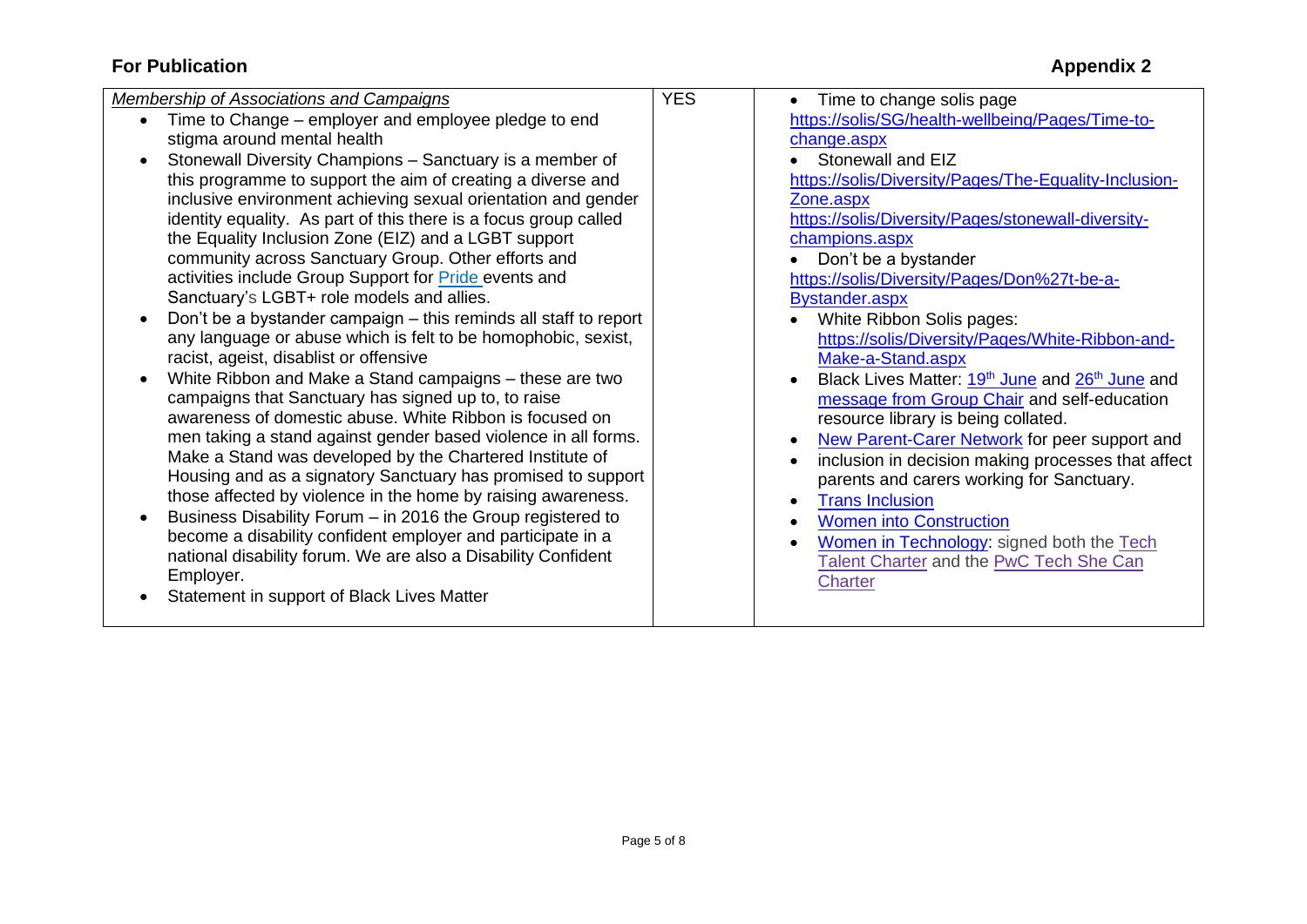| Membership of Associations and Campaigns                                                                                                                                                                                                                                                                                                                                                                                                                                                                                                                                                                                                                                                                                                                                                                                                                                                                                                                                                                                                                                                                                                                                                                                                                                                                                                                                                                                                                            | <b>YES</b> | Time to change solis page                                                                                                                                                                                                                                                                                                                                                                                                                                                                                                                                                                                                                                                                                                                                                                                                                                                                                                   |
|---------------------------------------------------------------------------------------------------------------------------------------------------------------------------------------------------------------------------------------------------------------------------------------------------------------------------------------------------------------------------------------------------------------------------------------------------------------------------------------------------------------------------------------------------------------------------------------------------------------------------------------------------------------------------------------------------------------------------------------------------------------------------------------------------------------------------------------------------------------------------------------------------------------------------------------------------------------------------------------------------------------------------------------------------------------------------------------------------------------------------------------------------------------------------------------------------------------------------------------------------------------------------------------------------------------------------------------------------------------------------------------------------------------------------------------------------------------------|------------|-----------------------------------------------------------------------------------------------------------------------------------------------------------------------------------------------------------------------------------------------------------------------------------------------------------------------------------------------------------------------------------------------------------------------------------------------------------------------------------------------------------------------------------------------------------------------------------------------------------------------------------------------------------------------------------------------------------------------------------------------------------------------------------------------------------------------------------------------------------------------------------------------------------------------------|
| Time to Change – employer and employee pledge to end<br>stigma around mental health<br>Stonewall Diversity Champions - Sanctuary is a member of<br>this programme to support the aim of creating a diverse and<br>inclusive environment achieving sexual orientation and gender<br>identity equality. As part of this there is a focus group called<br>the Equality Inclusion Zone (EIZ) and a LGBT support<br>community across Sanctuary Group. Other efforts and<br>activities include Group Support for <b>Pride</b> events and<br>Sanctuary's LGBT+ role models and allies.<br>Don't be a bystander campaign – this reminds all staff to report<br>any language or abuse which is felt to be homophobic, sexist,<br>racist, ageist, disablist or offensive<br>White Ribbon and Make a Stand campaigns - these are two<br>campaigns that Sanctuary has signed up to, to raise<br>awareness of domestic abuse. White Ribbon is focused on<br>men taking a stand against gender based violence in all forms.<br>Make a Stand was developed by the Chartered Institute of<br>Housing and as a signatory Sanctuary has promised to support<br>those affected by violence in the home by raising awareness.<br>Business Disability Forum - in 2016 the Group registered to<br>become a disability confident employer and participate in a<br>national disability forum. We are also a Disability Confident<br>Employer.<br>Statement in support of Black Lives Matter |            | https://solis/SG/health-wellbeing/Pages/Time-to-<br>change.aspx<br>Stonewall and EIZ<br>https://solis/Diversity/Pages/The-Equality-Inclusion-<br>Zone.aspx<br>https://solis/Diversity/Pages/stonewall-diversity-<br>champions.aspx<br>Don't be a bystander<br>https://solis/Diversity/Pages/Don%27t-be-a-<br><b>Bystander.aspx</b><br>White Ribbon Solis pages:<br>https://solis/Diversity/Pages/White-Ribbon-and-<br>Make-a-Stand.aspx<br>Black Lives Matter: 19 <sup>th</sup> June and 26 <sup>th</sup> June and<br>message from Group Chair and self-education<br>resource library is being collated.<br>New Parent-Carer Network for peer support and<br>inclusion in decision making processes that affect<br>parents and carers working for Sanctuary.<br><b>Trans Inclusion</b><br><b>Women into Construction</b><br>Women in Technology: signed both the Tech<br>Talent Charter and the PwC Tech She Can<br>Charter |
|                                                                                                                                                                                                                                                                                                                                                                                                                                                                                                                                                                                                                                                                                                                                                                                                                                                                                                                                                                                                                                                                                                                                                                                                                                                                                                                                                                                                                                                                     |            |                                                                                                                                                                                                                                                                                                                                                                                                                                                                                                                                                                                                                                                                                                                                                                                                                                                                                                                             |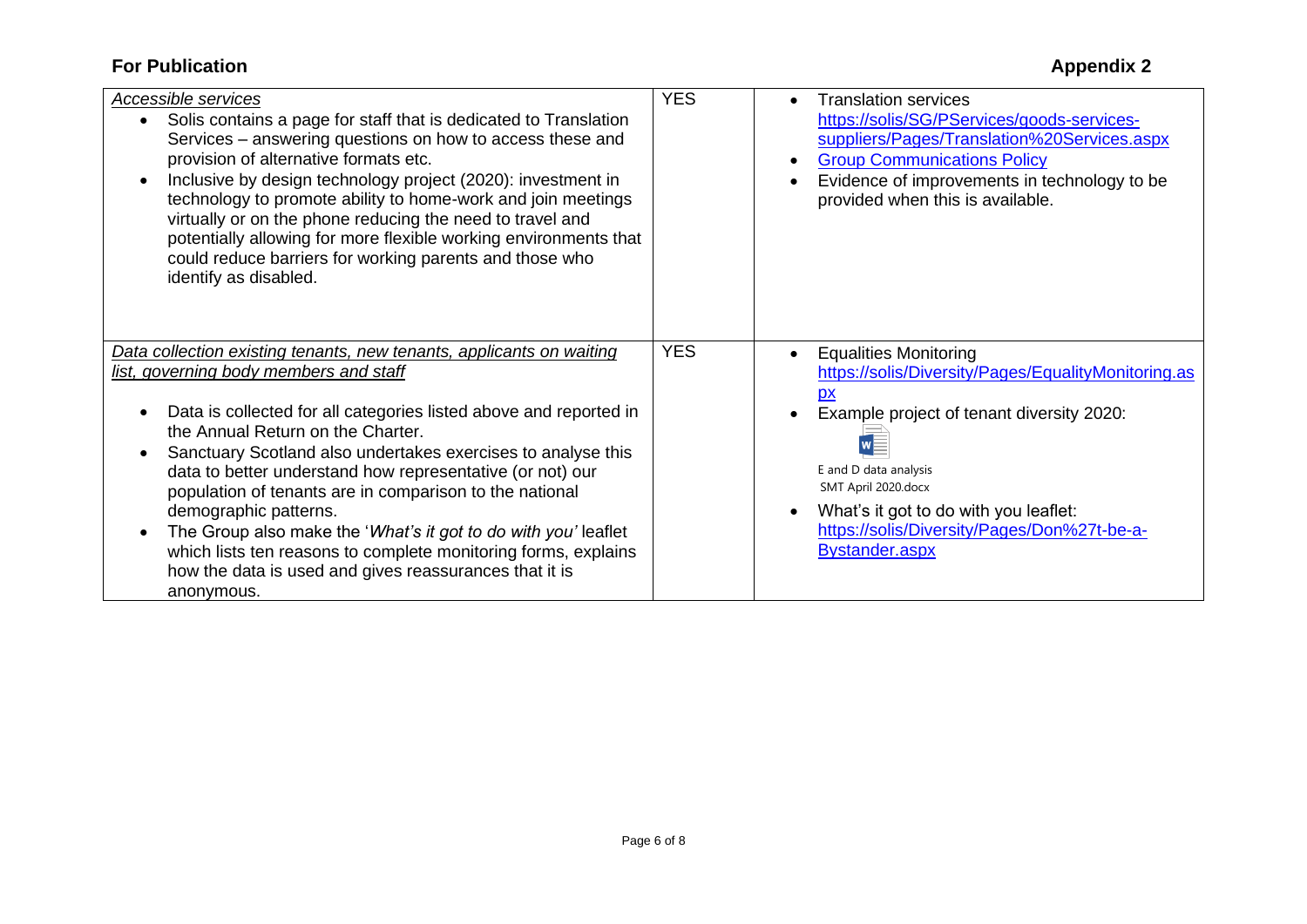| Accessible services<br>Solis contains a page for staff that is dedicated to Translation<br>$\bullet$<br>Services – answering questions on how to access these and<br>provision of alternative formats etc.<br>Inclusive by design technology project (2020): investment in<br>$\bullet$<br>technology to promote ability to home-work and join meetings<br>virtually or on the phone reducing the need to travel and<br>potentially allowing for more flexible working environments that<br>could reduce barriers for working parents and those who | <b>YES</b> | <b>Translation services</b><br>https://solis/SG/PServices/goods-services-<br>suppliers/Pages/Translation%20Services.aspx<br><b>Group Communications Policy</b><br>Evidence of improvements in technology to be<br>provided when this is available. |
|-----------------------------------------------------------------------------------------------------------------------------------------------------------------------------------------------------------------------------------------------------------------------------------------------------------------------------------------------------------------------------------------------------------------------------------------------------------------------------------------------------------------------------------------------------|------------|----------------------------------------------------------------------------------------------------------------------------------------------------------------------------------------------------------------------------------------------------|
| identify as disabled.<br>Data collection existing tenants, new tenants, applicants on waiting<br>list, governing body members and staff<br>Data is collected for all categories listed above and reported in                                                                                                                                                                                                                                                                                                                                        | <b>YES</b> | <b>Equalities Monitoring</b><br>https://solis/Diversity/Pages/EqualityMonitoring.as<br>Example project of tenant diversity 2020:                                                                                                                   |
| the Annual Return on the Charter.<br>Sanctuary Scotland also undertakes exercises to analyse this<br>$\bullet$<br>data to better understand how representative (or not) our<br>population of tenants are in comparison to the national<br>demographic patterns.<br>The Group also make the 'What's it got to do with you' leaflet<br>$\bullet$<br>which lists ten reasons to complete monitoring forms, explains<br>how the data is used and gives reassurances that it is<br>anonymous.                                                            |            | E and D data analysis<br>SMT April 2020.docx<br>What's it got to do with you leaflet:<br>https://solis/Diversity/Pages/Don%27t-be-a-<br><b>Bystander.aspx</b>                                                                                      |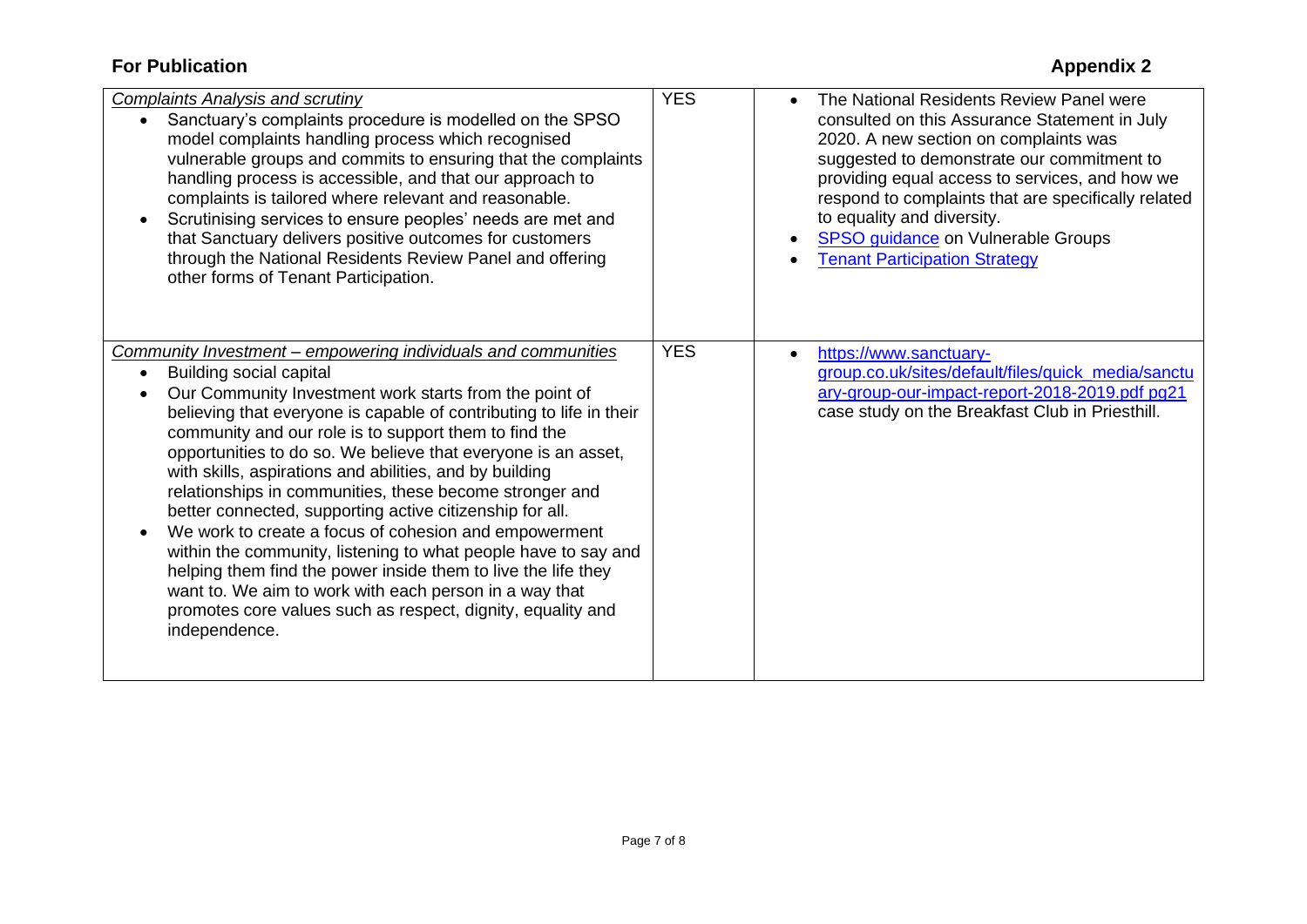| <b>Complaints Analysis and scrutiny</b>                                                                                                                                                                                                                                                                                                                                                                                                                                                                                           | <b>YES</b> | The National Residents Review Panel were                                                                                                                                                                                                                                                                                                                         |
|-----------------------------------------------------------------------------------------------------------------------------------------------------------------------------------------------------------------------------------------------------------------------------------------------------------------------------------------------------------------------------------------------------------------------------------------------------------------------------------------------------------------------------------|------------|------------------------------------------------------------------------------------------------------------------------------------------------------------------------------------------------------------------------------------------------------------------------------------------------------------------------------------------------------------------|
| Sanctuary's complaints procedure is modelled on the SPSO<br>model complaints handling process which recognised<br>vulnerable groups and commits to ensuring that the complaints<br>handling process is accessible, and that our approach to<br>complaints is tailored where relevant and reasonable.<br>Scrutinising services to ensure peoples' needs are met and<br>that Sanctuary delivers positive outcomes for customers<br>through the National Residents Review Panel and offering<br>other forms of Tenant Participation. |            | consulted on this Assurance Statement in July<br>2020. A new section on complaints was<br>suggested to demonstrate our commitment to<br>providing equal access to services, and how we<br>respond to complaints that are specifically related<br>to equality and diversity.<br><b>SPSO guidance on Vulnerable Groups</b><br><b>Tenant Participation Strategy</b> |
| Community Investment – empowering individuals and communities                                                                                                                                                                                                                                                                                                                                                                                                                                                                     | <b>YES</b> | https://www.sanctuary-                                                                                                                                                                                                                                                                                                                                           |
| Building social capital<br>Our Community Investment work starts from the point of                                                                                                                                                                                                                                                                                                                                                                                                                                                 |            | group.co.uk/sites/default/files/quick_media/sanctu<br>ary-group-our-impact-report-2018-2019.pdf pg21                                                                                                                                                                                                                                                             |
| believing that everyone is capable of contributing to life in their                                                                                                                                                                                                                                                                                                                                                                                                                                                               |            | case study on the Breakfast Club in Priesthill.                                                                                                                                                                                                                                                                                                                  |
| community and our role is to support them to find the                                                                                                                                                                                                                                                                                                                                                                                                                                                                             |            |                                                                                                                                                                                                                                                                                                                                                                  |
| opportunities to do so. We believe that everyone is an asset,                                                                                                                                                                                                                                                                                                                                                                                                                                                                     |            |                                                                                                                                                                                                                                                                                                                                                                  |
| with skills, aspirations and abilities, and by building                                                                                                                                                                                                                                                                                                                                                                                                                                                                           |            |                                                                                                                                                                                                                                                                                                                                                                  |
| relationships in communities, these become stronger and                                                                                                                                                                                                                                                                                                                                                                                                                                                                           |            |                                                                                                                                                                                                                                                                                                                                                                  |
| better connected, supporting active citizenship for all.                                                                                                                                                                                                                                                                                                                                                                                                                                                                          |            |                                                                                                                                                                                                                                                                                                                                                                  |
| We work to create a focus of cohesion and empowerment<br>within the community, listening to what people have to say and                                                                                                                                                                                                                                                                                                                                                                                                           |            |                                                                                                                                                                                                                                                                                                                                                                  |
| helping them find the power inside them to live the life they                                                                                                                                                                                                                                                                                                                                                                                                                                                                     |            |                                                                                                                                                                                                                                                                                                                                                                  |
| want to. We aim to work with each person in a way that                                                                                                                                                                                                                                                                                                                                                                                                                                                                            |            |                                                                                                                                                                                                                                                                                                                                                                  |
| promotes core values such as respect, dignity, equality and                                                                                                                                                                                                                                                                                                                                                                                                                                                                       |            |                                                                                                                                                                                                                                                                                                                                                                  |
| independence.                                                                                                                                                                                                                                                                                                                                                                                                                                                                                                                     |            |                                                                                                                                                                                                                                                                                                                                                                  |
|                                                                                                                                                                                                                                                                                                                                                                                                                                                                                                                                   |            |                                                                                                                                                                                                                                                                                                                                                                  |